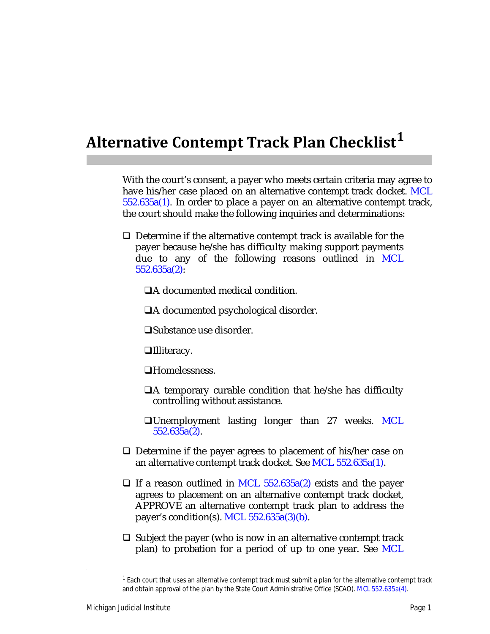## **Alternative Contempt Track Plan Checklist<sup>1</sup>**

With the court's consent, a payer who meets certain criteria may agree to have his/her case placed on an alternative contempt track docket. MCL 552.635a(1). In order to place a payer on an alternative contempt track, the court should make the following inquiries and determinations:

- $\Box$  Determine if the alternative contempt track is available for the payer because he/she has difficulty making support payments due to any of the following reasons outlined in MCL 552.635a(2):
	- A documented medical condition.

A documented psychological disorder.

Substance use disorder.

□Illiteracy.

Homelessness.

- $\Box A$  temporary curable condition that he/she has difficulty controlling without assistance.
- □Unemployment lasting longer than 27 weeks. MCL 552.635a(2).
- $\Box$  Determine if the payer agrees to placement of his/her case on an alternative contempt track docket. See MCL 552.635a(1).
- $\Box$  If a reason outlined in MCL 552.635a(2) exists and the payer agrees to placement on an alternative contempt track docket, APPROVE an alternative contempt track plan to address the payer's condition(s). MCL  $552.635a(3)(b)$ .
- $\Box$  Subject the payer (who is now in an alternative contempt track plan) to probation for a period of up to one year. See MCL

<sup>&</sup>lt;sup>1</sup> Each court that uses an alternative contempt track must submit a plan for the alternative contempt track and obtain approval of the plan by the State Court Administrative Office (SCAO). MCL 552.635a(4).